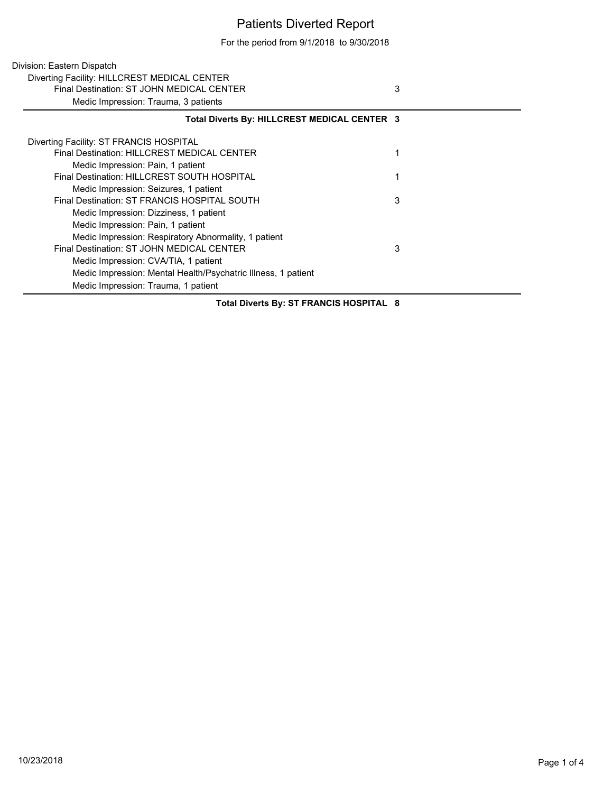## Patients Diverted Report

For the period from 9/1/2018 to 9/30/2018

| Division: Eastern Dispatch                                                                |   |
|-------------------------------------------------------------------------------------------|---|
| Diverting Facility: HILLCREST MEDICAL CENTER<br>Final Destination: ST JOHN MEDICAL CENTER | 3 |
| Medic Impression: Trauma, 3 patients                                                      |   |
| Total Diverts By: HILLCREST MEDICAL CENTER 3                                              |   |
| Diverting Facility: ST FRANCIS HOSPITAL                                                   |   |
| Final Destination: HILLCREST MEDICAL CENTER                                               |   |
| Medic Impression: Pain, 1 patient                                                         |   |
| Final Destination: HILLCREST SOUTH HOSPITAL                                               |   |
| Medic Impression: Seizures, 1 patient                                                     |   |
| Final Destination: ST FRANCIS HOSPITAL SOUTH                                              | 3 |
| Medic Impression: Dizziness, 1 patient                                                    |   |
| Medic Impression: Pain, 1 patient                                                         |   |
| Medic Impression: Respiratory Abnormality, 1 patient                                      |   |
| Final Destination: ST JOHN MEDICAL CENTER                                                 | 3 |
| Medic Impression: CVA/TIA, 1 patient                                                      |   |
| Medic Impression: Mental Health/Psychatric Illness, 1 patient                             |   |
| Medic Impression: Trauma, 1 patient                                                       |   |

**Total Diverts By: ST FRANCIS HOSPITAL 8**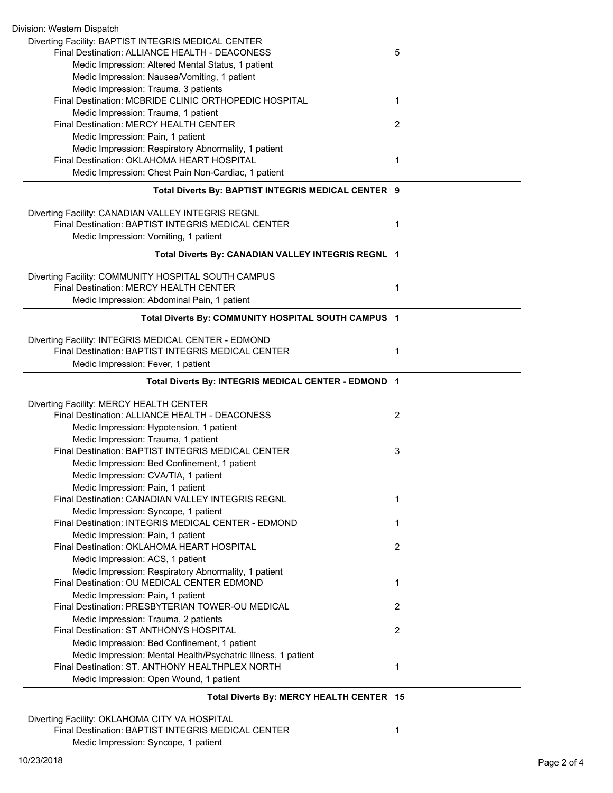| Diverting Facility: BAPTIST INTEGRIS MEDICAL CENTER                                                              |                |
|------------------------------------------------------------------------------------------------------------------|----------------|
| Final Destination: ALLIANCE HEALTH - DEACONESS                                                                   | 5              |
| Medic Impression: Altered Mental Status, 1 patient                                                               |                |
| Medic Impression: Nausea/Vomiting, 1 patient                                                                     |                |
| Medic Impression: Trauma, 3 patients                                                                             |                |
| Final Destination: MCBRIDE CLINIC ORTHOPEDIC HOSPITAL                                                            | 1              |
| Medic Impression: Trauma, 1 patient                                                                              |                |
| Final Destination: MERCY HEALTH CENTER                                                                           | 2              |
| Medic Impression: Pain, 1 patient                                                                                |                |
| Medic Impression: Respiratory Abnormality, 1 patient                                                             |                |
| Final Destination: OKLAHOMA HEART HOSPITAL                                                                       | 1              |
| Medic Impression: Chest Pain Non-Cardiac, 1 patient                                                              |                |
| Total Diverts By: BAPTIST INTEGRIS MEDICAL CENTER 9                                                              |                |
|                                                                                                                  |                |
| Diverting Facility: CANADIAN VALLEY INTEGRIS REGNL                                                               |                |
| Final Destination: BAPTIST INTEGRIS MEDICAL CENTER                                                               | 1              |
| Medic Impression: Vomiting, 1 patient                                                                            |                |
| Total Diverts By: CANADIAN VALLEY INTEGRIS REGNL 1                                                               |                |
| Diverting Facility: COMMUNITY HOSPITAL SOUTH CAMPUS                                                              |                |
| Final Destination: MERCY HEALTH CENTER                                                                           | $\mathbf{1}$   |
| Medic Impression: Abdominal Pain, 1 patient                                                                      |                |
| Total Diverts By: COMMUNITY HOSPITAL SOUTH CAMPUS 1                                                              |                |
| Diverting Facility: INTEGRIS MEDICAL CENTER - EDMOND                                                             |                |
| Final Destination: BAPTIST INTEGRIS MEDICAL CENTER                                                               | 1              |
|                                                                                                                  |                |
|                                                                                                                  |                |
| Medic Impression: Fever, 1 patient                                                                               |                |
| Total Diverts By: INTEGRIS MEDICAL CENTER - EDMOND 1                                                             |                |
| Diverting Facility: MERCY HEALTH CENTER                                                                          |                |
| Final Destination: ALLIANCE HEALTH - DEACONESS                                                                   | $\overline{2}$ |
| Medic Impression: Hypotension, 1 patient                                                                         |                |
| Medic Impression: Trauma, 1 patient                                                                              |                |
| Final Destination: BAPTIST INTEGRIS MEDICAL CENTER                                                               | 3              |
| Medic Impression: Bed Confinement, 1 patient                                                                     |                |
| Medic Impression: CVA/TIA, 1 patient                                                                             |                |
| Medic Impression: Pain, 1 patient                                                                                |                |
| Final Destination: CANADIAN VALLEY INTEGRIS REGNL                                                                | 1              |
| Medic Impression: Syncope, 1 patient                                                                             |                |
| Final Destination: INTEGRIS MEDICAL CENTER - EDMOND                                                              | 1              |
| Medic Impression: Pain, 1 patient                                                                                |                |
| Final Destination: OKLAHOMA HEART HOSPITAL                                                                       | 2              |
| Medic Impression: ACS, 1 patient                                                                                 |                |
| Medic Impression: Respiratory Abnormality, 1 patient                                                             |                |
| Final Destination: OU MEDICAL CENTER EDMOND                                                                      | 1              |
| Medic Impression: Pain, 1 patient                                                                                |                |
| Final Destination: PRESBYTERIAN TOWER-OU MEDICAL                                                                 | $\overline{2}$ |
|                                                                                                                  |                |
| Medic Impression: Trauma, 2 patients<br>Final Destination: ST ANTHONYS HOSPITAL                                  | $\overline{2}$ |
|                                                                                                                  |                |
| Medic Impression: Bed Confinement, 1 patient                                                                     |                |
| Medic Impression: Mental Health/Psychatric Illness, 1 patient<br>Final Destination: ST. ANTHONY HEALTHPLEX NORTH | $\mathbf{1}$   |
| Medic Impression: Open Wound, 1 patient                                                                          |                |